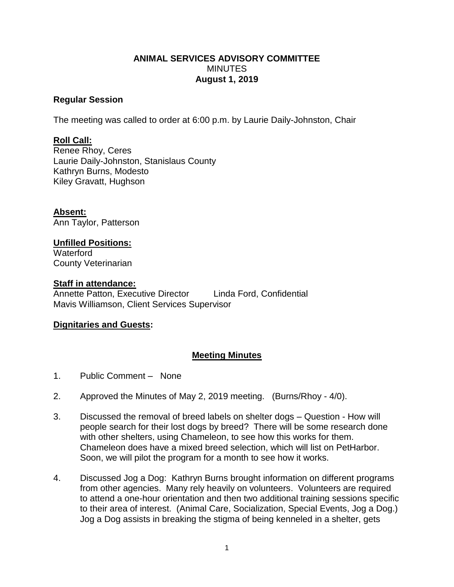### **ANIMAL SERVICES ADVISORY COMMITTEE MINUTES August 1, 2019**

#### **Regular Session**

The meeting was called to order at 6:00 p.m. by Laurie Daily-Johnston, Chair

# **Roll Call:**

Renee Rhoy, Ceres Laurie Daily-Johnston, Stanislaus County Kathryn Burns, Modesto Kiley Gravatt, Hughson

**Absent:** Ann Taylor, Patterson

# **Unfilled Positions:**

**Waterford** County Veterinarian

### **Staff in attendance:**

Annette Patton, Executive Director Linda Ford, Confidential Mavis Williamson, Client Services Supervisor

# **Dignitaries and Guests:**

# **Meeting Minutes**

- 1. Public Comment None
- 2. Approved the Minutes of May 2, 2019 meeting. (Burns/Rhoy 4/0).
- 3. Discussed the removal of breed labels on shelter dogs Question How will people search for their lost dogs by breed? There will be some research done with other shelters, using Chameleon, to see how this works for them. Chameleon does have a mixed breed selection, which will list on PetHarbor. Soon, we will pilot the program for a month to see how it works.
- 4. Discussed Jog a Dog: Kathryn Burns brought information on different programs from other agencies. Many rely heavily on volunteers. Volunteers are required to attend a one-hour orientation and then two additional training sessions specific to their area of interest. (Animal Care, Socialization, Special Events, Jog a Dog.) Jog a Dog assists in breaking the stigma of being kenneled in a shelter, gets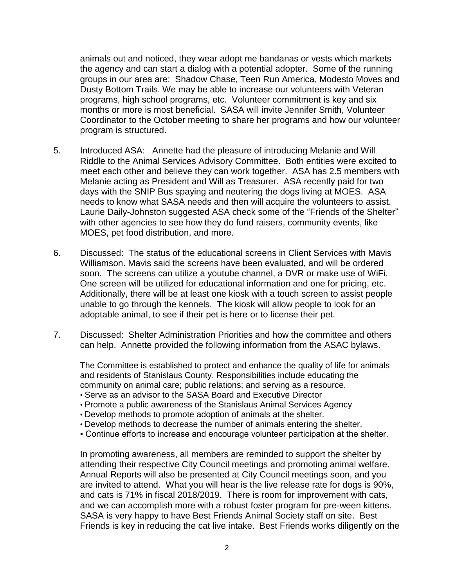animals out and noticed, they wear adopt me bandanas or vests which markets the agency and can start a dialog with a potential adopter. Some of the running groups in our area are: Shadow Chase, Teen Run America, Modesto Moves and Dusty Bottom Trails. We may be able to increase our volunteers with Veteran programs, high school programs, etc. Volunteer commitment is key and six months or more is most beneficial. SASA will invite Jennifer Smith, Volunteer Coordinator to the October meeting to share her programs and how our volunteer program is structured.

- 5. Introduced ASA: Annette had the pleasure of introducing Melanie and Will Riddle to the Animal Services Advisory Committee. Both entities were excited to meet each other and believe they can work together. ASA has 2.5 members with Melanie acting as President and Will as Treasurer. ASA recently paid for two days with the SNIP Bus spaying and neutering the dogs living at MOES. ASA needs to know what SASA needs and then will acquire the volunteers to assist. Laurie Daily-Johnston suggested ASA check some of the "Friends of the Shelter" with other agencies to see how they do fund raisers, community events, like MOES, pet food distribution, and more.
- 6. Discussed: The status of the educational screens in Client Services with Mavis Williamson. Mavis said the screens have been evaluated, and will be ordered soon. The screens can utilize a youtube channel, a DVR or make use of WiFi. One screen will be utilized for educational information and one for pricing, etc. Additionally, there will be at least one kiosk with a touch screen to assist people unable to go through the kennels. The kiosk will allow people to look for an adoptable animal, to see if their pet is here or to license their pet.
- 7. Discussed: Shelter Administration Priorities and how the committee and others can help. Annette provided the following information from the ASAC bylaws.

The Committee is established to protect and enhance the quality of life for animals and residents of Stanislaus County. Responsibilities include educating the community on animal care; public relations; and serving as a resource.

- Serve as an advisor to the SASA Board and Executive Director
- Promote a public awareness of the Stanislaus Animal Services Agency
- Develop methods to promote adoption of animals at the shelter.
- Develop methods to decrease the number of animals entering the shelter.
- Continue efforts to increase and encourage volunteer participation at the shelter.

In promoting awareness, all members are reminded to support the shelter by attending their respective City Council meetings and promoting animal welfare. Annual Reports will also be presented at City Council meetings soon, and you are invited to attend. What you will hear is the live release rate for dogs is 90%, and cats is 71% in fiscal 2018/2019. There is room for improvement with cats, and we can accomplish more with a robust foster program for pre-ween kittens. SASA is very happy to have Best Friends Animal Society staff on site. Best Friends is key in reducing the cat live intake. Best Friends works diligently on the